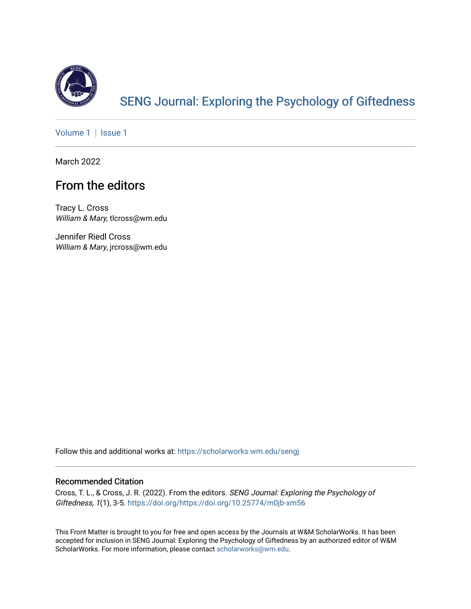

# [SENG Journal: Exploring the Psychology of Giftedness](https://scholarworks.wm.edu/sengj)

[Volume 1](https://scholarworks.wm.edu/sengj/vol1) | Issue 1

March 2022

## From the editors

Tracy L. Cross William & Mary, tlcross@wm.edu

Jennifer Riedl Cross William & Mary, jrcross@wm.edu

Follow this and additional works at: [https://scholarworks.wm.edu/sengj](https://scholarworks.wm.edu/sengj?utm_source=scholarworks.wm.edu%2Fsengj%2Fvol1%2Fiss1%2F2&utm_medium=PDF&utm_campaign=PDFCoverPages)

#### Recommended Citation

Cross, T. L., & Cross, J. R. (2022). From the editors. SENG Journal: Exploring the Psychology of Giftedness, 1(1), 3-5.<https://doi.org/https://doi.org/10.25774/m0jb-xm56>

This Front Matter is brought to you for free and open access by the Journals at W&M ScholarWorks. It has been accepted for inclusion in SENG Journal: Exploring the Psychology of Giftedness by an authorized editor of W&M ScholarWorks. For more information, please contact [scholarworks@wm.edu.](mailto:scholarworks@wm.edu)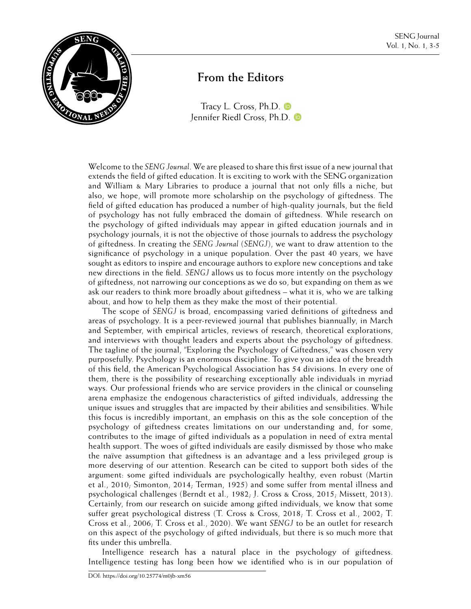

### **From the Editors**

[Tracy L. Cross, Ph.D.](https://orcid.org/0000-0001-5026-0626)  $\blacksquare$ [Jennifer Riedl Cross, Ph.D.](https://orcid.org/0000-0002-7133-8792)

Welcome to the *SENG Journal*. We are pleased to share this first issue of a new journal that extends the field of gifted education. It is exciting to work with the SENG organization and William & Mary Libraries to produce a journal that not only fills a niche, but also, we hope, will promote more scholarship on the psychology of giftedness. The field of gifted education has produced a number of high-quality journals, but the field of psychology has not fully embraced the domain of giftedness. While research on the psychology of gifted individuals may appear in gifted education journals and in psychology journals, it is not the objective of those journals to address the psychology of giftedness. In creating the *SENG Journal* (*SENGJ*), we want to draw attention to the significance of psychology in a unique population. Over the past 40 years, we have sought as editors to inspire and encourage authors to explore new conceptions and take new directions in the field. *SENGJ* allows us to focus more intently on the psychology of giftedness, not narrowing our conceptions as we do so, but expanding on them as we ask our readers to think more broadly about giftedness – what it is, who we are talking about, and how to help them as they make the most of their potential.

The scope of *SENGJ* is broad, encompassing varied definitions of giftedness and areas of psychology. It is a peer-reviewed journal that publishes biannually, in March and September, with empirical articles, reviews of research, theoretical explorations, and interviews with thought leaders and experts about the psychology of giftedness. The tagline of the journal, "Exploring the Psychology of Giftedness," was chosen very purposefully. Psychology is an enormous discipline. To give you an idea of the breadth of this field, the American Psychological Association has 54 divisions. In every one of them, there is the possibility of researching exceptionally able individuals in myriad ways. Our professional friends who are service providers in the clinical or counseling arena emphasize the endogenous characteristics of gifted individuals, addressing the unique issues and struggles that are impacted by their abilities and sensibilities. While this focus is incredibly important, an emphasis on this as the sole conception of the psychology of giftedness creates limitations on our understanding and, for some, contributes to the image of gifted individuals as a population in need of extra mental health support. The woes of gifted individuals are easily dismissed by those who make the naïve assumption that giftedness is an advantage and a less privileged group is more deserving of our attention. Research can be cited to support both sides of the argument: some gifted individuals are psychologically healthy, even robust (Martin et al., 2010; Simonton, 2014; Terman, 1925) and some suffer from mental illness and psychological challenges (Berndt et al., 1982; J. Cross & Cross, 2015; Missett, 2013). Certainly, from our research on suicide among gifted individuals, we know that some suffer great psychological distress (T. Cross & Cross, 2018; T. Cross et al., 2002; T. Cross et al., 2006; T. Cross et al., 2020). We want *SENGJ* to be an outlet for research on this aspect of the psychology of gifted individuals, but there is so much more that fits under this umbrella.

Intelligence research has a natural place in the psychology of giftedness. Intelligence testing has long been how we identified who is in our population of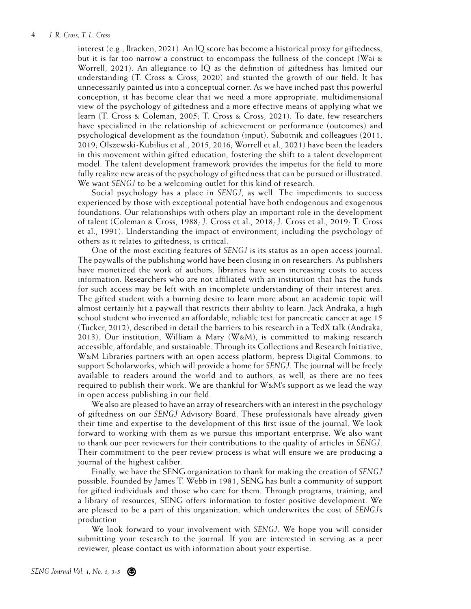#### 4 *J. R. Cross, T. L. Cross*

interest (e.g., Bracken, 2021). An IQ score has become a historical proxy for giftedness, but it is far too narrow a construct to encompass the fullness of the concept (Wai & Worrell, 2021). An allegiance to IQ as the definition of giftedness has limited our understanding (T. Cross & Cross, 2020) and stunted the growth of our field. It has unnecessarily painted us into a conceptual corner. As we have inched past this powerful conception, it has become clear that we need a more appropriate, multidimensional view of the psychology of giftedness and a more effective means of applying what we learn (T. Cross & Coleman, 2005; T. Cross & Cross, 2021). To date, few researchers have specialized in the relationship of achievement or performance (outcomes) and psychological development as the foundation (input). Subotnik and colleagues (2011, 2019; Olszewski-Kubilius et al., 2015, 2016; Worrell et al., 2021) have been the leaders in this movement within gifted education, fostering the shift to a talent development model. The talent development framework provides the impetus for the field to more fully realize new areas of the psychology of giftedness that can be pursued or illustrated. We want *SENGJ* to be a welcoming outlet for this kind of research.

Social psychology has a place in *SENGJ*, as well. The impediments to success experienced by those with exceptional potential have both endogenous and exogenous foundations. Our relationships with others play an important role in the development of talent (Coleman & Cross, 1988; J. Cross et al., 2018; J. Cross et al., 2019; T. Cross et al., 1991). Understanding the impact of environment, including the psychology of others as it relates to giftedness, is critical.

One of the most exciting features of *SENGJ* is its status as an open access journal. The paywalls of the publishing world have been closing in on researchers. As publishers have monetized the work of authors, libraries have seen increasing costs to access information. Researchers who are not affiliated with an institution that has the funds for such access may be left with an incomplete understanding of their interest area. The gifted student with a burning desire to learn more about an academic topic will almost certainly hit a paywall that restricts their ability to learn. Jack Andraka, a high school student who invented an affordable, reliable test for pancreatic cancer at age 15 (Tucker, 2012), described in detail the barriers to his research in a TedX talk (Andraka, 2013). Our institution, William & Mary (W&M), is committed to making research accessible, affordable, and sustainable. Through its Collections and Research Initiative, W&M Libraries partners with an open access platform, bepress Digital Commons, to support Scholarworks, which will provide a home for *SENGJ*. The journal will be freely available to readers around the world and to authors, as well, as there are no fees required to publish their work. We are thankful for W&M's support as we lead the way in open access publishing in our field.

We also are pleased to have an array of researchers with an interest in the psychology of giftedness on our *SENGJ* Advisory Board. These professionals have already given their time and expertise to the development of this first issue of the journal. We look forward to working with them as we pursue this important enterprise. We also want to thank our peer reviewers for their contributions to the quality of articles in *SENGJ*. Their commitment to the peer review process is what will ensure we are producing a journal of the highest caliber.

Finally, we have the SENG organization to thank for making the creation of *SENGJ* possible. Founded by James T. Webb in 1981, SENG has built a community of support for gifted individuals and those who care for them. Through programs, training, and a library of resources, SENG offers information to foster positive development. We are pleased to be a part of this organization, which underwrites the cost of *SENGJ's* production.

We look forward to your involvement with *SENGJ*. We hope you will consider submitting your research to the journal. If you are interested in serving as a peer reviewer, please contact us with information about your expertise.